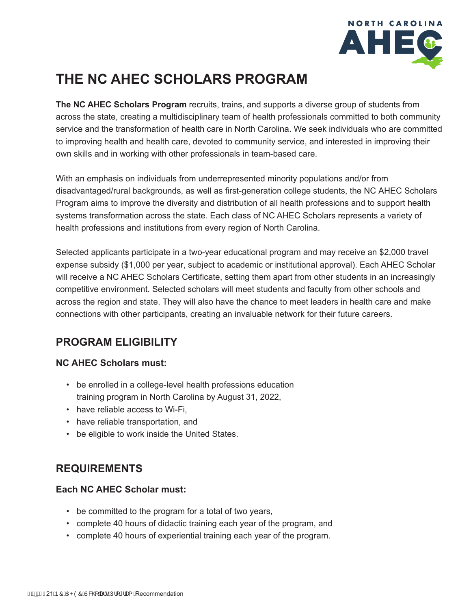

# **THE NC AHEC SCHOLARS PROGRAM**

**The NC AHEC Scholars Program** recruits, trains, and supports a diverse group of students from across the state, creating a multidisciplinary team of health professionals committed to both community service and the transformation of health care in North Carolina. We seek individuals who are committed to improving health and health care, devoted to community service, and interested in improving their own skills and in working with other professionals in team-based care.

With an emphasis on individuals from underrepresented minority populations and/or from disadvantaged/rural backgrounds, as well as first-generation college students, the NC AHEC Scholars Program aims to improve the diversity and distribution of all health professions and to support health systems transformation across the state. Each class of NC AHEC Scholars represents a variety of health professions and institutions from every region of North Carolina.

Selected applicants participate in a two-year educational program and may receive an \$2,000 travel expense subsidy (\$1,000 per year, subject to academic or institutional approval). Each AHEC Scholar will receive a NC AHEC Scholars Certificate, setting them apart from other students in an increasingly competitive environment. Selected scholars will meet students and faculty from other schools and across the region and state. They will also have the chance to meet leaders in health care and make connections with other participants, creating an invaluable network for their future careers.

## **PROGRAM ELIGIBILITY**

#### **NC AHEC Scholars must:**

- be enrolled in a college-level health professions education training program in North Carolina by August 31, 2022,
- have reliable access to Wi-Fi,
- have reliable transportation, and
- be eligible to work inside the United States.

### **REQUIREMENTS**

#### **Each NC AHEC Scholar must:**

- be committed to the program for a total of two years,
- complete 40 hours of didactic training each year of the program, and
- complete 40 hours of experiential training each year of the program.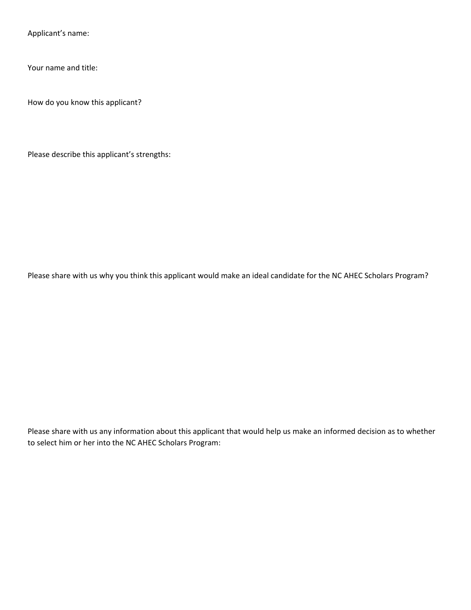Applicant's name:

Your name and title:

How do you know this applicant?

Please describe this applicant's strengths:

Please share with us why you think this applicant would make an ideal candidate for the NC AHEC Scholars Program?

Please share with us any information about this applicant that would help us make an informed decision as to whether to select him or her into the NC AHEC Scholars Program: